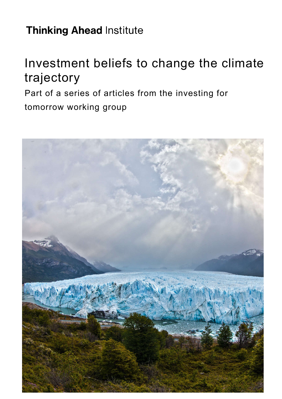# **Thinking Ahead Institute**

# Investment beliefs to change the climate trajectory

Part of a series of articles from the investing for tomorrow working group

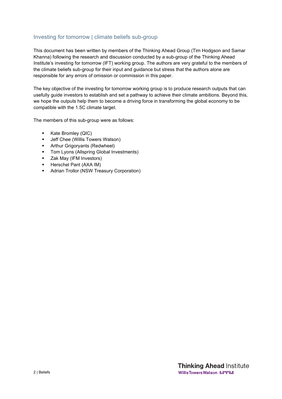### Investing for tomorrow | climate beliefs sub-group

This document has been written by members of the Thinking Ahead Group (Tim Hodgson and Samar Khanna) following the research and discussion conducted by a sub-group of the Thinking Ahead Institute's investing for tomorrow (IFT) working group. The authors are very grateful to the members of the climate beliefs sub-group for their input and guidance but stress that the authors alone are responsible for any errors of omission or commission in this paper.

The key objective of the investing for tomorrow working group is to produce research outputs that can usefully guide investors to establish and set a pathway to achieve their climate ambitions. Beyond this, we hope the outputs help them to become a driving force in transforming the global economy to be compatible with the 1.5C climate target.

The members of this sub-group were as follows:

- Kate Bromley (QIC)
- **Jeff Chee (Willis Towers Watson)**
- **•** Arthur Grigoryants (Redwheel)
- **Tom Lyons (Allspring Global Investments)**
- **EXAMEL EXAM** Investors)
- **Herschel Pant (AXA IM)**
- **Adrian Trollor (NSW Treasury Corporation)**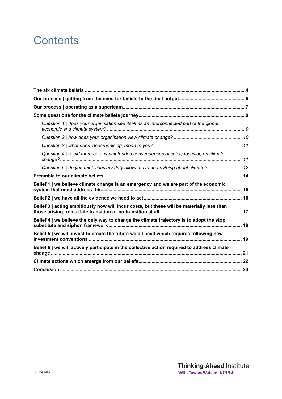# **Contents**

| Question 1   does your organisation see itself as an interconnected part of the global       |  |
|----------------------------------------------------------------------------------------------|--|
|                                                                                              |  |
|                                                                                              |  |
| Question 4   could there be any unintended consequences of solely focusing on climate        |  |
| Question 5   do you think fiduciary duty allows us to do anything about climate? 12          |  |
|                                                                                              |  |
| Belief 1   we believe climate change is an emergency and we are part of the economic         |  |
|                                                                                              |  |
| Belief 3   acting ambitiously now will incur costs, but these will be materially less than   |  |
| Belief 4   we believe the only way to change the climate trajectory is to adopt the stop,    |  |
| Belief 5   we will invest to create the future we all need which requires following new      |  |
| Belief 6   we will actively participate in the collective action required to address climate |  |
|                                                                                              |  |
|                                                                                              |  |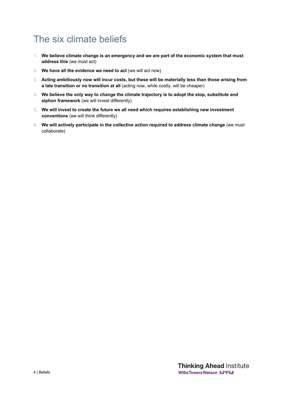# The six climate beliefs

- 1. **We believe climate change is an emergency and we are part of the economic system that must address this** (we must act)
- 2. **We have all the evidence we need to act** (we will act now)
- 3. **Acting ambitiously now will incur costs, but these will be materially less than those arising from a late transition or no transition at all** (acting now, while costly, will be cheaper)
- 4. **We believe the only way to change the climate trajectory is to adopt the stop, substitute and siphon framework** (we will invest differently)
- 5. **We will invest to create the future we all need which requires establishing new investment conventions** (we will think differently)
- 6. **We will actively participate in the collective action required to address climate change** (we must collaborate)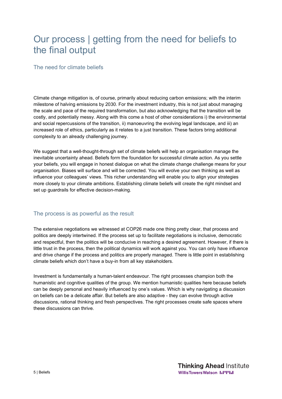# Our process | getting from the need for beliefs to the final output

### The need for climate beliefs

Climate change mitigation is, of course, primarily about reducing carbon emissions; with the interim milestone of halving emissions by 2030. For the investment industry, this is not just about managing the scale and pace of the required transformation, but also acknowledging that the transition will be costly, and potentially messy. Along with this come a host of other considerations i) the environmental and social repercussions of the transition, ii) manoeuvring the evolving legal landscape, and iii) an increased role of ethics, particularly as it relates to a just transition. These factors bring additional complexity to an already challenging journey.

We suggest that a well-thought-through set of climate beliefs will help an organisation manage the inevitable uncertainty ahead. Beliefs form the foundation for successful climate action. As you settle your beliefs, you will engage in honest dialogue on what the climate change challenge means for your organisation. Biases will surface and will be corrected. You will evolve your own thinking as well as influence your colleagues' views. This richer understanding will enable you to align your strategies more closely to your climate ambitions. Establishing climate beliefs will create the right mindset and set up quardrails for effective decision-making.

### The process is as powerful as the result

The extensive negotiations we witnessed at COP26 made one thing pretty clear, that process and politics are deeply intertwined. If the process set up to facilitate negotiations is inclusive, democratic and respectful, then the politics will be conducive in reaching a desired agreement. However, if there is little trust in the process, then the political dynamics will work against you. You can only have influence and drive change if the process and politics are properly managed. There is little point in establishing climate beliefs which don't have a buy-in from all key stakeholders.

Investment is fundamentally a human-talent endeavour. The right processes champion both the humanistic and cognitive qualities of the group. We mention humanistic qualities here because beliefs can be deeply personal and heavily influenced by one's values. Which is why navigating a discussion on beliefs can be a delicate affair. But beliefs are also adaptive - they can evolve through active discussions, rational thinking and fresh perspectives. The right processes create safe spaces where these discussions can thrive.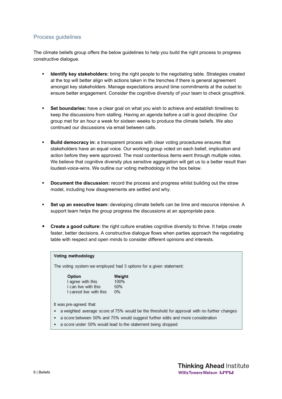### Process guidelines

The climate beliefs group offers the below guidelines to help you build the right process to progress constructive dialogue.

- **Identify key stakeholders:** bring the right people to the negotiating table. Strategies created at the top will better align with actions taken in the trenches if there is general agreement amongst key stakeholders. Manage expectations around time commitments at the outset to ensure better engagement. Consider the cognitive diversity of your team to check groupthink.
- **Set boundaries:** have a clear goal on what you wish to achieve and establish timelines to keep the discussions from stalling. Having an agenda before a call is good discipline. Our group met for an hour a week for sixteen weeks to produce the climate beliefs. We also continued our discussions via email between calls.
- **Build democracy in:** a transparent process with clear voting procedures ensures that stakeholders have an equal voice. Our working group voted on each belief, implication and action before they were approved. The most contentious items went through multiple votes. We believe that cognitive diversity plus sensitive aggregation will get us to a better result than loudest-voice-wins. We outline our voting methodology in the box below.
- **Document the discussion:** record the process and progress whilst building out the straw model, including how disagreements are settled and why.
- **Set up an executive team:** developing climate beliefs can be time and resource intensive. A support team helps the group progress the discussions at an appropriate pace.
- **Create a good culture:** the right culture enables cognitive diversity to thrive. It helps create faster, better decisions. A constructive dialogue flows when parties approach the negotiating table with respect and open minds to consider different opinions and interests.

#### Voting methodology

The voting system we employed had 3 options for a given statement:

| Option                  | Weight |  |
|-------------------------|--------|--|
| I agree with this       | 100%   |  |
| I can live with this    | 50%    |  |
| I cannot live with this | 0%     |  |

It was pre-agreed that:

- a weighted average score of 75% would be the threshold for approval with no further changes
- a score between 50% and 75% would suggest further edits and more consideration
- a score under 50% would lead to the statement being dropped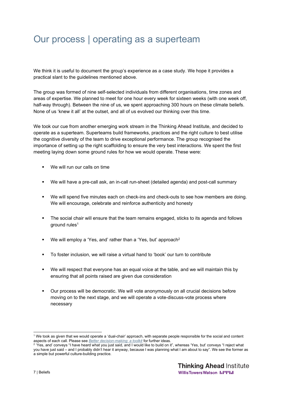# Our process | operating as a superteam

We think it is useful to document the group's experience as a case study. We hope it provides a practical slant to the guidelines mentioned above.

The group was formed of nine self-selected individuals from different organisations, time zones and areas of expertise. We planned to meet for one hour every week for sixteen weeks (with one week off, half-way through). Between the nine of us, we spent approaching 300 hours on these climate beliefs. None of us 'knew it all' at the outset, and all of us evolved our thinking over this time.

We took our cue from another emerging work stream in the Thinking Ahead Institute, and decided to operate as a superteam. Superteams build frameworks, practices and the right culture to best utilise the cognitive diversity of the team to drive exceptional performance. The group recognised the importance of setting up the right scaffolding to ensure the very best interactions. We spent the first meeting laying down some ground rules for how we would operate. These were:

- We will run our calls on time
- We will have a pre-call ask, an in-call run-sheet (detailed agenda) and post-call summary
- We will spend five minutes each on check-ins and check-outs to see how members are doing. We will encourage, celebrate and reinforce authenticity and honesty
- The social chair will ensure that the team remains engaged, sticks to its agenda and follows ground rules<sup>1</sup>
- We will employ a 'Yes, and' rather than a 'Yes, but' approach<sup>2</sup>
- To foster inclusion, we will raise a virtual hand to 'book' our turn to contribute
- We will respect that everyone has an equal voice at the table, and we will maintain this by ensuring that all points raised are given due consideration
- Our process will be democratic. We will vote anonymously on all crucial decisions before moving on to the next stage, and we will operate a vote-discuss-vote process where necessary

<sup>1</sup> We took as given that we would operate a 'dual-chair' approach, with separate people responsible for the social and content aspects of each call. Please see *Better decision-making: a toolkit* for further ideas.

<sup>&</sup>lt;sup>2</sup> 'Yes, and' conveys "I have heard what you just said, and I would like to build on it", whereas 'Yes, but' conveys "I reject what you have just said – and I probably didn't hear it anyway, because I was planning what I am about to say". We see the former as a simple but powerful culture-building practice.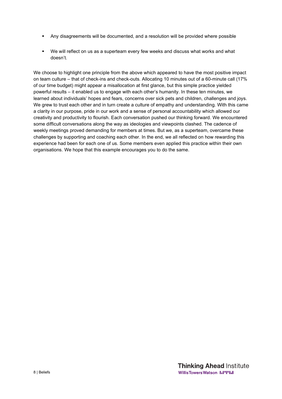- Any disagreements will be documented, and a resolution will be provided where possible
- We will reflect on us as a superteam every few weeks and discuss what works and what doesn't.

We choose to highlight one principle from the above which appeared to have the most positive impact on team culture – that of check-ins and check-outs. Allocating 10 minutes out of a 60-minute call (17% of our time budget) might appear a misallocation at first glance, but this simple practice yielded powerful results – it enabled us to engage with each other's humanity. In these ten minutes, we learned about individuals' hopes and fears, concerns over sick pets and children, challenges and joys. We grew to trust each other and in turn create a culture of empathy and understanding. With this came a clarity in our purpose, pride in our work and a sense of personal accountability which allowed our creativity and productivity to flourish. Each conversation pushed our thinking forward. We encountered some difficult conversations along the way as ideologies and viewpoints clashed. The cadence of weekly meetings proved demanding for members at times. But we, as a superteam, overcame these challenges by supporting and coaching each other. In the end, we all reflected on how rewarding this experience had been for each one of us. Some members even applied this practice within their own organisations. We hope that this example encourages you to do the same.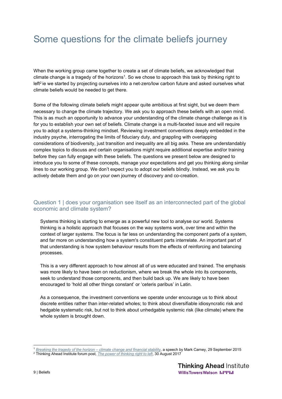# Some questions for the climate beliefs journey

When the working group came together to create a set of climate beliefs, we acknowledged that climate change is a tragedy of the horizons1. So we chose to approach this task by thinking right to left<sup>2</sup> ie we started by projecting ourselves into a net-zero/low carbon future and asked ourselves what climate beliefs would be needed to get there.

Some of the following climate beliefs might appear quite ambitious at first sight, but we deem them necessary to change the climate trajectory. We ask you to approach these beliefs with an open mind. This is as much an opportunity to advance your understanding of the climate change challenge as it is for you to establish your own set of beliefs. Climate change is a multi-faceted issue and will require you to adopt a systems-thinking mindset. Reviewing investment conventions deeply embedded in the industry psyche, interrogating the limits of fiduciary duty, and grappling with overlapping considerations of biodiversity, just transition and inequality are all big asks. These are understandably complex topics to discuss and certain organisations might require additional expertise and/or training before they can fully engage with these beliefs. The questions we present below are designed to introduce you to some of these concepts, manage your expectations and get you thinking along similar lines to our working group. We don't expect you to adopt our beliefs blindly. Instead, we ask you to actively debate them and go on your own journey of discovery and co-creation.

### Question 1 | does your organisation see itself as an interconnected part of the global economic and climate system?

Systems thinking is starting to emerge as a powerful new tool to analyse our world. Systems thinking is a holistic approach that focuses on the way systems work, over time and within the context of larger systems. The focus is far less on understanding the component parts of a system, and far more on understanding how a system's constituent parts interrelate. An important part of that understanding is how system behaviour results from the effects of reinforcing and balancing processes.

This is a very different approach to how almost all of us were educated and trained. The emphasis was more likely to have been on reductionism, where we break the whole into its components, seek to understand those components, and then build back up. We are likely to have been encouraged to 'hold all other things constant' or 'ceteris paribus' in Latin.

As a consequence, the investment conventions we operate under encourage us to think about discrete entities rather than inter-related wholes; to think about diversifiable idiosyncratic risk and hedgable systematic risk, but not to think about unhedgable systemic risk (like climate) where the whole system is brought down.

<sup>1</sup> *Breaking the tragedy of the horizon – climate change and financial stability*, a speech by Mark Carney, 29 September 2015

<sup>2</sup> Thinking Ahead Institute forum post, *The power of thinking right to left*, 30 August 2017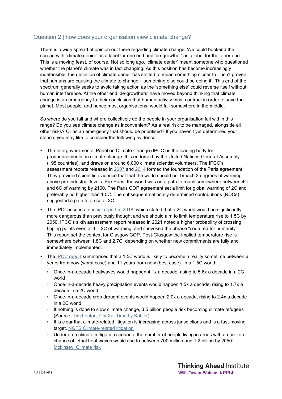### Question 2 | how does your organisation view climate change?

There is a wide spread of opinion out there regarding climate change. We could bookend the spread with 'climate denier' as a label for one end and 'de-growther' as a label for the other end. This is a moving feast, of course. Not so long ago, 'climate denier' meant someone who questioned whether the planet's climate was in fact changing. As this position has become increasingly indefensible, the definition of climate denier has shifted to mean something closer to 'it isn't proven that humans are causing the climate to change – something else could be doing it'. This end of the spectrum generally seeks to avoid taking action as the 'something else' could reverse itself without human interference. At the other end 'de-growthers' have moved beyond thinking that climate change is an emergency to their conclusion that human activity must contract in order to save the planet. Most people, and hence most organisations, would fall somewhere in the middle.

So where do you fall and where collectively do the people in your organisation fall within this range? Do you see climate change as inconvenient? As a real risk to be managed, alongside all other risks? Or as an emergency that should be prioritised? If you haven't yet determined your stance, you may like to consider the following evidence:

- The Intergovernmental Panel on Climate Change (IPCC) is the leading body for pronouncements on climate change. It is endorsed by the United Nations General Assembly (195 countries), and draws on around 6,000 climate scientist volunteers. The IPCC's assessment reports released in 2007 and 2014 formed the foundation of the Paris agreement. They provided scientific evidence that that the world should not breach 2 degrees of warming above pre-industrial levels. Pre-Paris, the world was on a path to reach somewhere between 4C and 6C of warming by 2100. The Paris COP agreement set a limit for global warming of 2C and preferably no higher than 1.5C. The subsequent nationally determined contributions (NDCs) suggested a path to a rise of 3C.
- The IPCC issued a special report in  $2018$ , which stated that a 2C world would be significantly more dangerous than previously thought and we should aim to limit temperature rise to 1.5C by 2050. IPCC's sixth assessment report released in 2021 noted a higher probability of crossing tipping points even at 1 – 2C of warming, and it invoked the phrase "code red for humanity". This report set the context for Glasgow COP. Post-Glasgow the implied temperature rise is somewhere between 1.8C and 2.7C, depending on whether new commitments are fully and immediately implemented.
- The IPCC report summarises that a 1.5C world is likely to become a reality sometime between 6 years from now (worst case) and 11 years from now (best case). In a 1.5C world:
	- Once-in-a-decade heatwaves would happen 4.1x a decade, rising to 5.6x a decade in a 2C world
	- Once-in-a-decade heavy precipitation events would happen 1.5x a decade, rising to 1.7x a decade in a 2C world
	- Once-in-a-decade crop drought events would happen 2.0x a decade, rising to 2.4x a decade in a 2C world
	- If nothing is done to slow climate change, 3.5 billion people risk becoming climate refugees (Source: Tim Lenton, Chi Xu, Timothy Kohler)
	- It is clear that climate-related litigation is increasing across jurisdictions and is a fast-moving target. NGFS Climate-related litigation
	- Under a no climate mitigation scenario, the number of people living in areas with a non-zero chance of lethal heat waves would rise to between 700 million and 1.2 billion by 2050: Mckinsey: Climate risk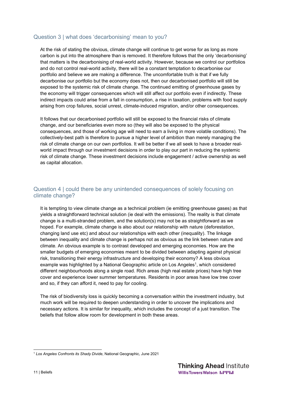### Question 3 | what does 'decarbonising' mean to you?

At the risk of stating the obvious, climate change will continue to get worse for as long as more carbon is put into the atmosphere than is removed. It therefore follows that the only 'decarbonising' that matters is the decarbonising of real-world activity. However, because we control our portfolios and do not control real-world activity, there will be a constant temptation to decarbonise our portfolio and believe we are making a difference. The uncomfortable truth is that if we fully decarbonise our portfolio but the economy does not, then our decarbonised portfolio will still be exposed to the systemic risk of climate change. The continued emitting of greenhouse gases by the economy will trigger consequences which will still affect our portfolio even if indirectly. These indirect impacts could arise from a fall in consumption, a rise in taxation, problems with food supply arising from crop failures, social unrest, climate-induced migration, and/or other consequences.

It follows that our decarbonised portfolio will still be exposed to the financial risks of climate change, and our beneficiaries even more so (they will also be exposed to the physical consequences, and those of working age will need to earn a living in more volatile conditions). The collectively-best path is therefore to pursue a higher level of ambition than merely managing the risk of climate change on our own portfolios. It will be better if we all seek to have a broader realworld impact through our investment decisions in order to play our part in reducing the systemic risk of climate change. These investment decisions include engagement / active ownership as well as capital allocation.

### Question 4 | could there be any unintended consequences of solely focusing on climate change?

It is tempting to view climate change as a technical problem (ie emitting greenhouse gases) as that yields a straightforward technical solution (ie deal with the emissions). The reality is that climate change is a multi-stranded problem, and the solution(s) may not be as straightforward as we hoped. For example, climate change is also about our relationship with nature (deforestation, changing land use etc) and about our relationships with each other (inequality). The linkage between inequality and climate change is perhaps not as obvious as the link between nature and climate. An obvious example is to contrast developed and emerging economies. How are the smaller budgets of emerging economies meant to be divided between adapting against physical risk, transitioning their energy infrastructure and developing their economy? A less obvious example was highlighted by a National Geographic article on Los Angeles<sup>1</sup>, which considered different neighbourhoods along a single road. Rich areas (high real estate prices) have high tree cover and experience lower summer temperatures. Residents in poor areas have low tree cover and so, if they can afford it, need to pay for cooling.

The risk of biodiversity loss is quickly becoming a conversation within the investment industry, but much work will be required to deepen understanding in order to uncover the implications and necessary actions. It is similar for inequality, which includes the concept of a just transition. The beliefs that follow allow room for development in both these areas.

<sup>1</sup> *Los Angeles Confronts its Shady Divide*, National Geographic, June 2021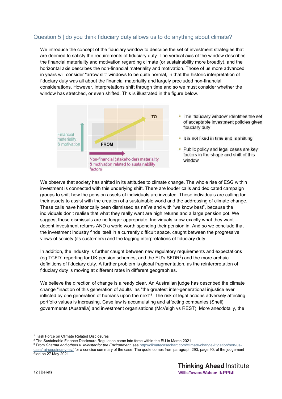### Question 5 | do you think fiduciary duty allows us to do anything about climate?

We introduce the concept of the fiduciary window to describe the set of investment strategies that are deemed to satisfy the requirements of fiduciary duty. The vertical axis of the window describes the financial materiality and motivation regarding climate (or sustainability more broadly), and the horizontal axis describes the non-financial materiality and motivation. Those of us more advanced in years will consider "arrow slit" windows to be quite normal, in that the historic interpretation of fiduciary duty was all about the financial materiality and largely precluded non-financial considerations. However, interpretations shift through time and so we must consider whether the window has stretched, or even shifted. This is illustrated in the figure below.



- . The 'fiduciary window' identifies the set of acceptable investment policies given fiduciary duty
- It is not fixed in time and is shifting
- Public policy and legal cases are key factors in the shape and shift of this window

We observe that society has shifted in its attitudes to climate change. The whole rise of ESG within investment is connected with this underlying shift. There are louder calls and dedicated campaign groups to shift how the pension assets of individuals are invested. These individuals are calling for their assets to assist with the creation of a sustainable world and the addressing of climate change. These calls have historically been dismissed as naïve and with "we know best", because the individuals don't realise that what they really want are high returns and a large pension pot. We suggest these dismissals are no longer appropriate. Individuals know exactly what they want – decent investment returns AND a world worth spending their pension in. And so we conclude that the investment industry finds itself in a currently difficult space, caught between the progressive views of society (its customers) and the lagging interpretations of fiduciary duty.

In addition, the industry is further caught between new regulatory requirements and expectations (eg TCFD<sup>1</sup> reporting for UK pension schemes, and the EU's SFDR<sup>2</sup>) and the more archaic definitions of fiduciary duty. A further problem is global fragmentation, as the reinterpretation of fiduciary duty is moving at different rates in different geographies.

We believe the direction of change is already clear. An Australian judge has described the climate change "inaction of this generation of adults" as "the greatest inter-generational injustice ever inflicted by one generation of humans upon the next"3. The risk of legal actions adversely affecting portfolio values is increasing. Case law is accumulating and affecting companies (Shell), governments (Australia) and investment organisations (McVeigh vs REST). More anecdotally, the

<sup>&</sup>lt;sup>1</sup> Task Force on Climate Related Disclosures

 $2$  The Sustainable Finance Disclosure Regulation came into force within the EU in March 2021

<sup>&</sup>lt;sup>3</sup> From *Sharma and others v. Minister for the Environment*, see http://climatecasechart.com/climate-change-litigation/non-uscase/raj-seppings-v-ley/ for a concise summary of the case. The quote comes from paragraph 293, page 90, of the judgement

filed on 27 May 2021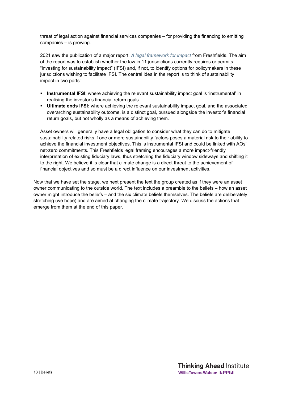threat of legal action against financial services companies – for providing the financing to emitting companies – is growing.

2021 saw the publication of a major report, *A legal framework for impact* from Freshfields. The aim of the report was to establish whether the law in 11 jurisdictions currently requires or permits "investing for sustainability impact" (IFSI) and, if not, to identify options for policymakers in these jurisdictions wishing to facilitate IFSI. The central idea in the report is to think of sustainability impact in two parts:

- **Instrumental IFSI:** where achieving the relevant sustainability impact goal is 'instrumental' in realising the investor's financial return goals.
- **Ultimate ends IFSI:** where achieving the relevant sustainability impact goal, and the associated overarching sustainability outcome, is a distinct goal, pursued alongside the investor's financial return goals, but not wholly as a means of achieving them.

Asset owners will generally have a legal obligation to consider what they can do to mitigate sustainability related risks if one or more sustainability factors poses a material risk to their ability to achieve the financial investment objectives. This is instrumental IFSI and could be linked with AOs' net-zero commitments. This Freshfields legal framing encourages a more impact-friendly interpretation of existing fiduciary laws, thus stretching the fiduciary window sideways and shifting it to the right. We believe it is clear that climate change is a direct threat to the achievement of financial objectives and so must be a direct influence on our investment activities.

Now that we have set the stage, we next present the text the group created as if they were an asset owner communicating to the outside world. The text includes a preamble to the beliefs – how an asset owner might introduce the beliefs – and the six climate beliefs themselves. The beliefs are deliberately stretching (we hope) and are aimed at changing the climate trajectory. We discuss the actions that emerge from them at the end of this paper.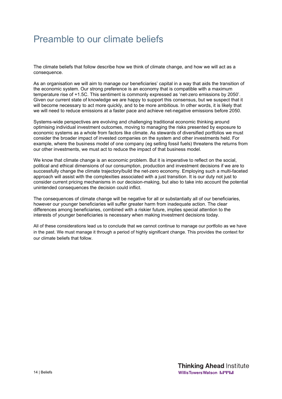# Preamble to our climate beliefs

The climate beliefs that follow describe how we think of climate change, and how we will act as a consequence.

As an organisation we will aim to manage our beneficiaries' capital in a way that aids the transition of the economic system. Our strong preference is an economy that is compatible with a maximum temperature rise of +1.5C. This sentiment is commonly expressed as 'net-zero emissions by 2050'. Given our current state of knowledge we are happy to support this consensus, but we suspect that it will become necessary to act more quickly, and to be more ambitious. In other words, it is likely that we will need to reduce emissions at a faster pace and achieve net-negative emissions before 2050.

Systems-wide perspectives are evolving and challenging traditional economic thinking around optimising individual investment outcomes, moving to managing the risks presented by exposure to economic systems as a whole from factors like climate. As stewards of diversified portfolios we must consider the broader impact of invested companies on the system and other investments held. For example, where the business model of one company (eg selling fossil fuels) threatens the returns from our other investments, we must act to reduce the impact of that business model.

We know that climate change is an economic problem. But it is imperative to reflect on the social, political and ethical dimensions of our consumption, production and investment decisions if we are to successfully change the climate trajectory/build the net-zero economy. Employing such a multi-faceted approach will assist with the complexities associated with a just transition. It is our duty not just to consider current pricing mechanisms in our decision-making, but also to take into account the potential unintended consequences the decision could inflict.

The consequences of climate change will be negative for all or substantially all of our beneficiaries, however our younger beneficiaries will suffer greater harm from inadequate action. The clear differences among beneficiaries, combined with a riskier future, implies special attention to the interests of younger beneficiaries is necessary when making investment decisions today.

All of these considerations lead us to conclude that we cannot continue to manage our portfolio as we have in the past. We must manage it through a period of highly significant change. This provides the context for our climate beliefs that follow.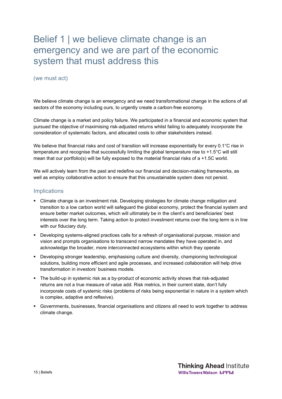# Belief 1 | we believe climate change is an emergency and we are part of the economic system that must address this

#### (we must act)

We believe climate change is an emergency and we need transformational change in the actions of all sectors of the economy including ours, to urgently create a carbon-free economy.

Climate change is a market and policy failure. We participated in a financial and economic system that pursued the objective of maximising risk-adjusted returns whilst failing to adequately incorporate the consideration of systematic factors, and allocated costs to other stakeholders instead.

We believe that financial risks and cost of transition will increase exponentially for every 0.1°C rise in temperature and recognise that successfully limiting the global temperature rise to +1.5°C will still mean that our portfolio(s) will be fully exposed to the material financial risks of a +1.5C world.

We will actively learn from the past and redefine our financial and decision-making frameworks, as well as employ collaborative action to ensure that this unsustainable system does not persist.

- Climate change is an investment risk. Developing strategies for climate change mitigation and transition to a low carbon world will safeguard the global economy, protect the financial system and ensure better market outcomes, which will ultimately be in the client's and beneficiaries' best interests over the long term. Taking action to protect investment returns over the long term is in line with our fiduciary duty.
- Developing systems-aligned practices calls for a refresh of organisational purpose, mission and vision and prompts organisations to transcend narrow mandates they have operated in, and acknowledge the broader, more interconnected ecosystems within which they operate
- Developing stronger leadership, emphasising culture and diversity, championing technological solutions, building more efficient and agile processes, and increased collaboration will help drive transformation in investors' business models.
- The build-up in systemic risk as a by-product of economic activity shows that risk-adjusted returns are not a true measure of value add. Risk metrics, in their current state, don't fully incorporate costs of systemic risks (problems of risks being exponential in nature in a system which is complex, adaptive and reflexive).
- Governments, businesses, financial organisations and citizens all need to work together to address climate change.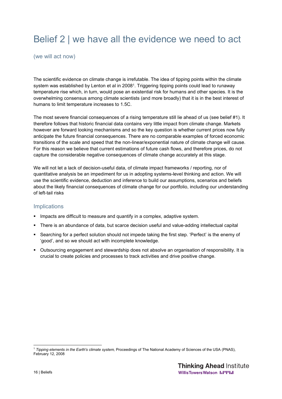# Belief 2 | we have all the evidence we need to act

(we will act now)

The scientific evidence on climate change is irrefutable. The idea of tipping points within the climate system was established by Lenton et al in 2008<sup>1</sup>. Triggering tipping points could lead to runaway temperature rise which, in turn, would pose an existential risk for humans and other species. It is the overwhelming consensus among climate scientists (and more broadly) that it is in the best interest of humans to limit temperature increases to 1.5C.

The most severe financial consequences of a rising temperature still lie ahead of us (see belief #1). It therefore follows that historic financial data contains very little impact from climate change. Markets however are forward looking mechanisms and so the key question is whether current prices now fully anticipate the future financial consequences. There are no comparable examples of forced economic transitions of the scale and speed that the non-linear/exponential nature of climate change will cause. For this reason we believe that current estimations of future cash flows, and therefore prices, do not capture the considerable negative consequences of climate change accurately at this stage.

We will not let a lack of decision-useful data, of climate impact frameworks / reporting, nor of quantitative analysis be an impediment for us in adopting systems-level thinking and action. We will use the scientific evidence, deduction and inference to build our assumptions, scenarios and beliefs about the likely financial consequences of climate change for our portfolio, including our understanding of left-tail risks

- **IMPACTE 10** Impacts are difficult to measure and quantify in a complex, adaptive system.
- There is an abundance of data, but scarce decision useful and value-adding intellectual capital
- Searching for a perfect solution should not impede taking the first step. 'Perfect' is the enemy of 'good', and so we should act with incomplete knowledge.
- Outsourcing engagement and stewardship does not absolve an organisation of responsibility. It is crucial to create policies and processes to track activities and drive positive change.

<sup>1</sup> *Tipping elements in the Earth's climate system,* Proceedings of The National Academy of Sciences of the USA (PNAS), February 12, 2008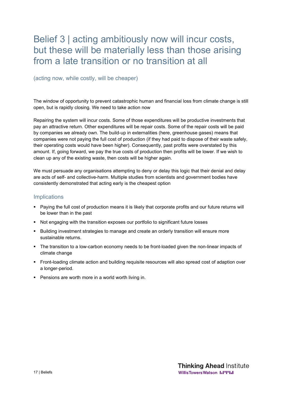# Belief 3 | acting ambitiously now will incur costs, but these will be materially less than those arising from a late transition or no transition at all

(acting now, while costly, will be cheaper)

The window of opportunity to prevent catastrophic human and financial loss from climate change is still open, but is rapidly closing. We need to take action now

Repairing the system will incur costs. Some of those expenditures will be productive investments that pay an attractive return. Other expenditures will be repair costs. Some of the repair costs will be paid by companies we already own. The build-up in externalities (here, greenhouse gases) means that companies were not paying the full cost of production (if they had paid to dispose of their waste safely, their operating costs would have been higher). Consequently, past profits were overstated by this amount. If, going forward, we pay the true costs of production then profits will be lower. If we wish to clean up any of the existing waste, then costs will be higher again.

We must persuade any organisations attempting to deny or delay this logic that their denial and delay are acts of self- and collective-harm. Multiple studies from scientists and government bodies have consistently demonstrated that acting early is the cheapest option

- Paying the full cost of production means it is likely that corporate profits and our future returns will be lower than in the past
- Not engaging with the transition exposes our portfolio to significant future losses
- **Building investment strategies to manage and create an orderly transition will ensure more** sustainable returns.
- The transition to a low-carbon economy needs to be front-loaded given the non-linear impacts of climate change
- Front-loading climate action and building requisite resources will also spread cost of adaption over a longer-period.
- **Pensions are worth more in a world worth living in.**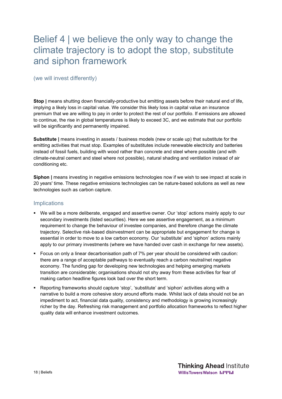## Belief 4 | we believe the only way to change the climate trajectory is to adopt the stop, substitute and siphon framework

#### (we will invest differently)

**Stop |** means shutting down financially-productive but emitting assets before their natural end of life, implying a likely loss in capital value. We consider this likely loss in capital value an insurance premium that we are willing to pay in order to protect the rest of our portfolio. If emissions are allowed to continue, the rise in global temperatures is likely to exceed 3C, and we estimate that our portfolio will be significantly and permanently impaired.

**Substitute |** means investing in assets / business models (new or scale up) that substitute for the emitting activities that must stop. Examples of substitutes include renewable electricity and batteries instead of fossil fuels, building with wood rather than concrete and steel where possible (and with climate-neutral cement and steel where not possible), natural shading and ventilation instead of air conditioning etc.

**Siphon |** means investing in negative emissions technologies now if we wish to see impact at scale in 20 years' time. These negative emissions technologies can be nature-based solutions as well as new technologies such as carbon capture.

- We will be a more deliberate, engaged and assertive owner. Our 'stop' actions mainly apply to our secondary investments (listed securities). Here we see assertive engagement, as a minimum requirement to change the behaviour of investee companies, and therefore change the climate trajectory. Selective risk-based disinvestment can be appropriate but engagement for change is essential in order to move to a low carbon economy. Our 'substitute' and 'siphon' actions mainly apply to our primary investments (where we have handed over cash in exchange for new assets).
- Focus on only a linear decarbonisation path of 7% per year should be considered with caution: there are a range of acceptable pathways to eventually reach a carbon neutral/net negative economy. The funding gap for developing new technologies and helping emerging markets transition are considerable; organisations should not shy away from these activities for fear of making carbon headline figures look bad over the short term.
- Reporting frameworks should capture 'stop', 'substitute' and 'siphon' activities along with a narrative to build a more cohesive story around efforts made. Whilst lack of data should not be an impediment to act, financial data quality, consistency and methodology is growing increasingly richer by the day. Refreshing risk management and portfolio allocation frameworks to reflect higher quality data will enhance investment outcomes.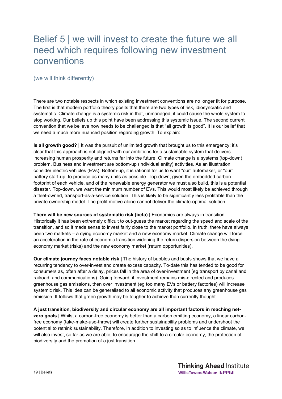# Belief 5 | we will invest to create the future we all need which requires following new investment conventions

(we will think differently)

There are two notable respects in which existing investment conventions are no longer fit for purpose. The first is that modern portfolio theory posits that there are two types of risk, idiosyncratic and systematic. Climate change is a systemic risk in that, unmanaged, it could cause the whole system to stop working. Our beliefs up this point have been addressing this systemic issue. The second current convention that we believe now needs to be challenged is that "all growth is good". It is our belief that we need a much more nuanced position regarding growth. To explain:

**Is all growth good? |** It was the pursuit of unlimited growth that brought us to this emergency; it's clear that this approach is not aligned with our ambitions for a sustainable system that delivers increasing human prosperity and returns far into the future. Climate change is a systems (top-down) problem. Business and investment are bottom-up (individual entity) activities. As an illustration, consider electric vehicles (EVs). Bottom-up, it is rational for us to want "our" automaker, or "our" battery start-up, to produce as many units as possible. Top-down, given the embedded carbon footprint of each vehicle, and of the renewable energy generator we must also build, this is a potential disaster. Top-down, we want the minimum number of EVs. This would most likely be achieved through a fleet-owned, transport-as-a-service solution. This is likely to be significantly less profitable than the private ownership model. The profit motive alone cannot deliver the climate-optimal solution.

**There will be new sources of systematic risk (beta) |** Economies are always in transition. Historically it has been extremely difficult to out-guess the market regarding the speed and scale of the transition, and so it made sense to invest fairly close to the market portfolio. In truth, there have always been two markets – a dying economy market and a new economy market. Climate change will force an acceleration in the rate of economic transition widening the return dispersion between the dying economy market (risks) and the new economy market (return opportunities).

**Our climate journey faces notable risk |** The history of bubbles and busts shows that we have a recurring tendency to over-invest and create excess capacity. To-date this has tended to be good for consumers as, often after a delay, prices fall in the area of over-investment (eg transport by canal and railroad, and communications). Going forward, if investment remains mis-directed and produces greenhouse gas emissions, then over investment (eg too many EVs or battery factories) will increase systemic risk. This idea can be generalised to all economic activity that produces any greenhouse gas emission. It follows that green growth may be tougher to achieve than currently thought.

**A just transition, biodiversity and circular economy are all important factors in reaching netzero goals |** Whilst a carbon-free economy is better than a carbon emitting economy, a linear carbonfree economy (take-make-use-throw) will create further sustainability problems and undershoot the potential to rethink sustainability. Therefore, in addition to investing so as to influence the climate, we will also invest, so far as we are able, to encourage the shift to a circular economy, the protection of biodiversity and the promotion of a just transition.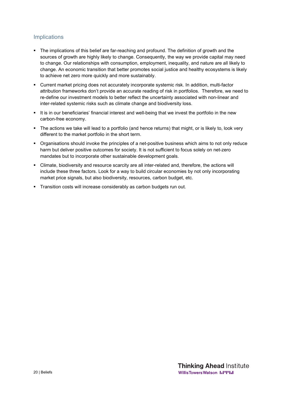- The implications of this belief are far-reaching and profound. The definition of growth and the sources of growth are highly likely to change. Consequently, the way we provide capital may need to change. Our relationships with consumption, employment, inequality, and nature are all likely to change. An economic transition that better promotes social justice and healthy ecosystems is likely to achieve net zero more quickly and more sustainably.
- Current market pricing does not accurately incorporate systemic risk. In addition, multi-factor attribution frameworks don't provide an accurate reading of risk in portfolios. Therefore, we need to re-define our investment models to better reflect the uncertainty associated with non-linear and inter-related systemic risks such as climate change and biodiversity loss.
- It is in our beneficiaries' financial interest and well-being that we invest the portfolio in the new carbon-free economy.
- The actions we take will lead to a portfolio (and hence returns) that might, or is likely to, look very different to the market portfolio in the short term.
- Organisations should invoke the principles of a net-positive business which aims to not only reduce harm but deliver positive outcomes for society. It is not sufficient to focus solely on net-zero mandates but to incorporate other sustainable development goals.
- Climate, biodiversity and resource scarcity are all inter-related and, therefore, the actions will include these three factors. Look for a way to build circular economies by not only incorporating market price signals, but also biodiversity, resources, carbon budget, etc.
- **Transition costs will increase considerably as carbon budgets run out.**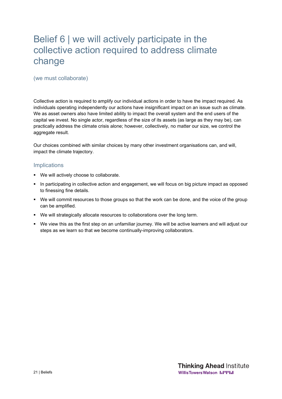# Belief 6 | we will actively participate in the collective action required to address climate change

### (we must collaborate)

Collective action is required to amplify our individual actions in order to have the impact required. As individuals operating independently our actions have insignificant impact on an issue such as climate. We as asset owners also have limited ability to impact the overall system and the end users of the capital we invest. No single actor, regardless of the size of its assets (as large as they may be), can practically address the climate crisis alone; however, collectively, no matter our size, we control the aggregate result.

Our choices combined with similar choices by many other investment organisations can, and will, impact the climate trajectory.

- We will actively choose to collaborate.
- In participating in collective action and engagement, we will focus on big picture impact as opposed to finessing fine details.
- We will commit resources to those groups so that the work can be done, and the voice of the group can be amplified.
- We will strategically allocate resources to collaborations over the long term.
- We view this as the first step on an unfamiliar journey. We will be active learners and will adjust our steps as we learn so that we become continually-improving collaborators.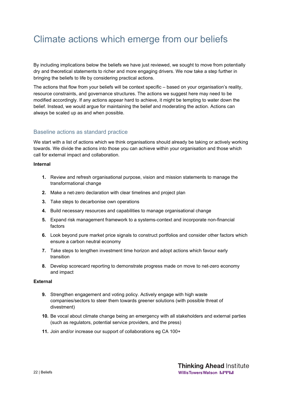# Climate actions which emerge from our beliefs

By including implications below the beliefs we have just reviewed, we sought to move from potentially dry and theoretical statements to richer and more engaging drivers. We now take a step further in bringing the beliefs to life by considering practical actions.

The actions that flow from your beliefs will be context specific – based on your organisation's reality, resource constraints, and governance structures. The actions we suggest here may need to be modified accordingly. If any actions appear hard to achieve, it might be tempting to water down the belief. Instead, we would argue for maintaining the belief and moderating the action. Actions can always be scaled up as and when possible.

### Baseline actions as standard practice

We start with a list of actions which we think organisations should already be taking or actively working towards. We divide the actions into those you can achieve within your organisation and those which call for external impact and collaboration.

#### **Internal**

- **1.** Review and refresh organisational purpose, vision and mission statements to manage the transformational change
- **2.** Make a net-zero declaration with clear timelines and project plan
- **3.** Take steps to decarbonise own operations
- **4.** Build necessary resources and capabilities to manage organisational change
- **5.** Expand risk management framework to a systems-context and incorporate non-financial factors
- **6.** Look beyond pure market price signals to construct portfolios and consider other factors which ensure a carbon neutral economy
- **7.** Take steps to lengthen investment time horizon and adopt actions which favour early transition
- **8.** Develop scorecard reporting to demonstrate progress made on move to net-zero economy and impact

#### **External**

- **9.** Strengthen engagement and voting policy. Actively engage with high waste companies/sectors to steer them towards greener solutions (with possible threat of divestment)
- **10.** Be vocal about climate change being an emergency with all stakeholders and external parties (such as regulators, potential service providers, and the press)
- **11.** Join and/or increase our support of collaborations eg CA 100+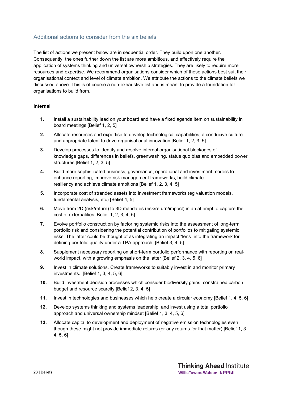### Additional actions to consider from the six beliefs

The list of actions we present below are in sequential order. They build upon one another. Consequently, the ones further down the list are more ambitious, and effectively require the application of systems thinking and universal ownership strategies. They are likely to require more resources and expertise. We recommend organisations consider which of these actions best suit their organisational context and level of climate ambition. We attribute the actions to the climate beliefs we discussed above. This is of course a non-exhaustive list and is meant to provide a foundation for organisations to build from.

#### **Internal**

- **1.** Install a sustainability lead on your board and have a fixed agenda item on sustainability in board meetings [Belief 1, 2, 5]
- **2.** Allocate resources and expertise to develop technological capabilities, a conducive culture and appropriate talent to drive organisational innovation [Belief 1, 2, 3, 5]
- **3.** Develop processes to identify and resolve internal organisational blockages of knowledge gaps, differences in beliefs, greenwashing, status quo bias and embedded power structures [Belief 1, 2, 3, 5]
- **4.** Build more sophisticated business, governance, operational and investment models to enhance reporting, improve risk management frameworks, build climate resiliency and achieve climate ambitions [Belief 1, 2, 3, 4, 5]
- **5.** Incorporate cost of stranded assets into investment frameworks (eg valuation models, fundamental analysis, etc) [Belief 4, 5]
- **6.** Move from 2D (risk/return) to 3D mandates (risk/return/impact) in an attempt to capture the cost of externalities [Belief 1, 2, 3, 4, 5]
- **7.** Evolve portfolio construction by factoring systemic risks into the assessment of long-term portfolio risk and considering the potential contribution of portfolios to mitigating systemic risks. The latter could be thought of as integrating an impact "lens" into the framework for defining portfolio quality under a TPA approach. [Belief 3, 4, 5]
- **8.** Supplement necessary reporting on short-term portfolio performance with reporting on realworld impact, with a growing emphasis on the latter [Belief 2, 3, 4, 5, 6]
- **9.** Invest in climate solutions. Create frameworks to suitably invest in and monitor primary investments. [Belief 1, 3, 4, 5, 6]
- **10.** Build investment decision processes which consider biodiversity gains, constrained carbon budget and resource scarcity [Belief 2, 3, 4, 5]
- **11.** Invest in technologies and businesses which help create a circular economy [Belief 1, 4, 5, 6]
- **12.** Develop systems thinking and systems leadership, and invest using a total portfolio approach and universal ownership mindset [Belief 1, 3, 4, 5, 6]
- **13.** Allocate capital to development and deployment of negative emission technologies even though these might not provide immediate returns (or any returns for that matter) [Belief 1, 3, 4, 5, 6]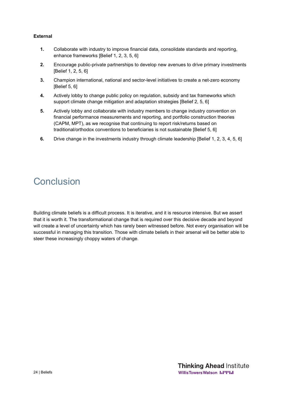#### **External**

- **1.** Collaborate with industry to improve financial data, consolidate standards and reporting, enhance frameworks [Belief 1, 2, 3, 5, 6]
- **2.** Encourage public-private partnerships to develop new avenues to drive primary investments [Belief 1, 2, 5, 6]
- **3.** Champion international, national and sector-level initiatives to create a net-zero economy [Belief 5, 6]
- **4.** Actively lobby to change public policy on regulation, subsidy and tax frameworks which support climate change mitigation and adaptation strategies [Belief 2, 5, 6]
- **5.** Actively lobby and collaborate with industry members to change industry convention on financial performance measurements and reporting, and portfolio construction theories (CAPM, MPT), as we recognise that continuing to report risk/returns based on traditional/orthodox conventions to beneficiaries is not sustainable [Belief 5, 6]
- **6.** Drive change in the investments industry through climate leadership [Belief 1, 2, 3, 4, 5, 6]

# Conclusion

Building climate beliefs is a difficult process. It is iterative, and it is resource intensive. But we assert that it is worth it. The transformational change that is required over this decisive decade and beyond will create a level of uncertainty which has rarely been witnessed before. Not every organisation will be successful in managing this transition. Those with climate beliefs in their arsenal will be better able to steer these increasingly choppy waters of change.